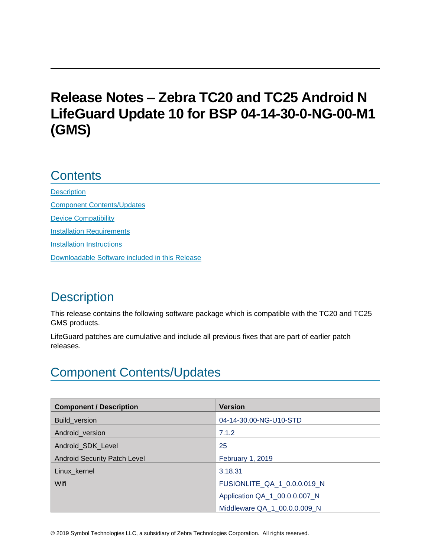# **Release Notes – Zebra TC20 and TC25 Android N LifeGuard Update 10 for BSP 04-14-30-0-NG-00-M1 (GMS)**

## **Contents**

**[Description](#page-0-0)** [Component Contents/Updates](#page-0-1) [Device Compatibility](#page-6-0) **[Installation Requirements](#page-7-0)** [Installation Instructions](#page-8-0) [Downloadable Software included in this Release](#page-9-0) 

# <span id="page-0-0"></span>**Description**

This release contains the following software package which is compatible with the TC20 and TC25 GMS products.

LifeGuard patches are cumulative and include all previous fixes that are part of earlier patch releases.

# <span id="page-0-1"></span>Component Contents/Updates

| <b>Component / Description</b>      | <b>Version</b>                |
|-------------------------------------|-------------------------------|
| Build_version                       | 04-14-30.00-NG-U10-STD        |
| Android_version                     | 7.1.2                         |
| Android SDK Level                   | 25                            |
| <b>Android Security Patch Level</b> | <b>February 1, 2019</b>       |
| Linux_kernel                        | 3.18.31                       |
| Wifi                                | FUSIONLITE_QA_1_0.0.0.019_N   |
|                                     | Application QA_1_00.0.0.007_N |
|                                     | Middleware QA 1 00.0.0.009 N  |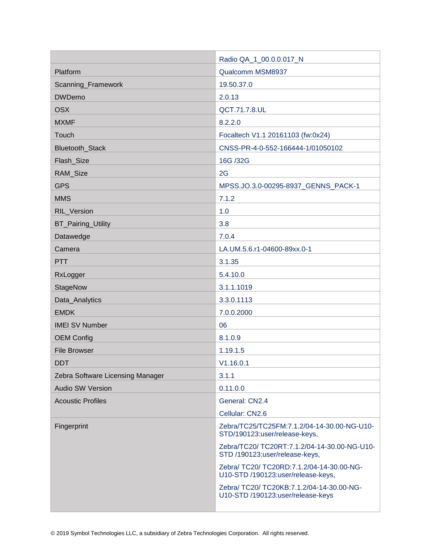|                                  | Radio QA_1_00.0.0.017_N                                                         |
|----------------------------------|---------------------------------------------------------------------------------|
| Platform                         | Qualcomm MSM8937                                                                |
| Scanning_Framework               | 19.50.37.0                                                                      |
| <b>DWDemo</b>                    | 2.0.13                                                                          |
| <b>OSX</b>                       | QCT.71.7.8.UL                                                                   |
| <b>MXMF</b>                      | 8.2.2.0                                                                         |
| Touch                            | Focaltech V1.1 20161103 (fw:0x24)                                               |
| <b>Bluetooth Stack</b>           | CNSS-PR-4-0-552-166444-1/01050102                                               |
| Flash_Size                       | 16G /32G                                                                        |
| RAM_Size                         | 2G                                                                              |
| <b>GPS</b>                       | MPSS.JO.3.0-00295-8937_GENNS_PACK-1                                             |
| <b>MMS</b>                       | 7.1.2                                                                           |
| RIL_Version                      | 1.0                                                                             |
| <b>BT_Pairing_Utility</b>        | 3.8                                                                             |
| Datawedge                        | 7.0.4                                                                           |
| Camera                           | LA.UM.5.6.r1-04600-89xx.0-1                                                     |
| <b>PTT</b>                       | 3.1.35                                                                          |
| RxLogger                         | 5.4.10.0                                                                        |
| StageNow                         | 3.1.1.1019                                                                      |
| Data_Analytics                   | 3.3.0.1113                                                                      |
| <b>EMDK</b>                      | 7.0.0.2000                                                                      |
| <b>IMEI SV Number</b>            | 06                                                                              |
| <b>OEM Config</b>                | 8.1.0.9                                                                         |
| <b>File Browser</b>              | 1.19.1.5                                                                        |
| <b>DDT</b>                       | V1.16.0.1                                                                       |
| Zebra Software Licensing Manager | 3.1.1                                                                           |
| <b>Audio SW Version</b>          | 0.11.0.0                                                                        |
| <b>Acoustic Profiles</b>         | General: CN2.4                                                                  |
|                                  | Cellular: CN2.6                                                                 |
| Fingerprint                      | Zebra/TC25/TC25FM:7.1.2/04-14-30.00-NG-U10-<br>STD/190123:user/release-keys,    |
|                                  | Zebra/TC20/ TC20RT:7.1.2/04-14-30.00-NG-U10-<br>STD /190123:user/release-keys,  |
|                                  | Zebra/ TC20/ TC20RD:7.1.2/04-14-30.00-NG-<br>U10-STD /190123:user/release-keys, |
|                                  | Zebra/ TC20/ TC20KB:7.1.2/04-14-30.00-NG-<br>U10-STD /190123:user/release-keys  |
|                                  |                                                                                 |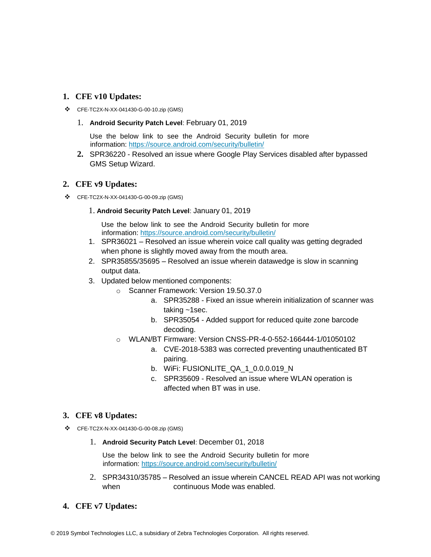#### **1. CFE v10 Updates:**

- ❖ CFE-TC2X-N-XX-041430-G-00-10.zip (GMS)
	- 1. **Android Security Patch Level**: February 01, 2019

Use the below link to see the Android Security bulletin for more information:<https://source.android.com/security/bulletin/>

**2.** SPR36220 - Resolved an issue where Google Play Services disabled after bypassed GMS Setup Wizard.

#### **2. CFE v9 Updates:**

- ❖ CFE-TC2X-N-XX-041430-G-00-09.zip (GMS)
	- 1. **Android Security Patch Level**: January 01, 2019

Use the below link to see the Android Security bulletin for more information:<https://source.android.com/security/bulletin/>

- 1. SPR36021 Resolved an issue wherein voice call quality was getting degraded when phone is slightly moved away from the mouth area.
- 2. SPR35855/35695 Resolved an issue wherein datawedge is slow in scanning output data.
- 3. Updated below mentioned components:
	- o Scanner Framework: Version 19.50.37.0
		- a. SPR35288 Fixed an issue wherein initialization of scanner was taking ~1sec.
		- b. SPR35054 Added support for reduced quite zone barcode decoding.
		- o WLAN/BT Firmware: Version CNSS-PR-4-0-552-166444-1/01050102
			- a. CVE-2018-5383 was corrected preventing unauthenticated BT pairing.
			- b. WiFi: FUSIONLITE\_QA\_1\_0.0.0.019\_N
			- c. SPR35609 Resolved an issue where WLAN operation is affected when BT was in use.

#### **3. CFE v8 Updates:**

- ❖ CFE-TC2X-N-XX-041430-G-00-08.zip (GMS)
	- 1. **Android Security Patch Level**: December 01, 2018

Use the below link to see the Android Security bulletin for more information:<https://source.android.com/security/bulletin/>

- 2. SPR34310/35785 Resolved an issue wherein CANCEL READ API was not working when continuous Mode was enabled.
- **4. CFE v7 Updates:**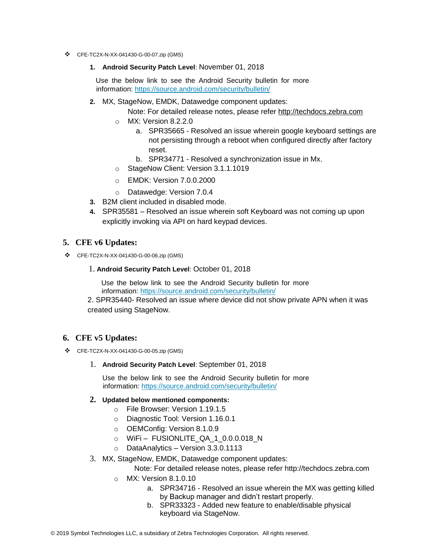- ❖ CFE-TC2X-N-XX-041430-G-00-07.zip (GMS)
	- **1. Android Security Patch Level**: November 01, 2018

Use the below link to see the Android Security bulletin for more information:<https://source.android.com/security/bulletin/>

**2.** MX, StageNow, EMDK, Datawedge component updates:

Note: For detailed release notes, please refer [http://techdocs.zebra.com](http://techdocs.zebra.com/)

- o MX: Version 8.2.2.0
	- a. SPR35665 Resolved an issue wherein google keyboard settings are not persisting through a reboot when configured directly after factory reset.
	- b. SPR34771 Resolved a synchronization issue in Mx.
- o StageNow Client: Version 3.1.1.1019
- o EMDK: Version 7.0.0.2000
- o Datawedge: Version 7.0.4
- **3.** B2M client included in disabled mode.
- **4.** SPR35581 Resolved an issue wherein soft Keyboard was not coming up upon explicitly invoking via API on hard keypad devices.

#### **5. CFE v6 Updates:**

❖ CFE-TC2X-N-XX-041430-G-00-06.zip (GMS)

#### 1. **Android Security Patch Level**: October 01, 2018

Use the below link to see the Android Security bulletin for more information:<https://source.android.com/security/bulletin/>

2. SPR35440- Resolved an issue where device did not show private APN when it was created using StageNow.

#### **6. CFE v5 Updates:**

- ❖ CFE-TC2X-N-XX-041430-G-00-05.zip (GMS)
	- 1. **Android Security Patch Level**: September 01, 2018

Use the below link to see the Android Security bulletin for more information:<https://source.android.com/security/bulletin/>

#### **2. Updated below mentioned components:**

- o File Browser: Version 1.19.1.5
- o Diagnostic Tool: Version 1.16.0.1
- o OEMConfig: Version 8.1.0.9
- $\circ$  WiFi FUSIONLITE QA 1 0.0.0.018 N
- o DataAnalytics Version 3.3.0.1113
- 3. MX, StageNow, EMDK, Datawedge component updates:

Note: For detailed release notes, please refer [http://techdocs.zebra.com](http://techdocs.zebra.com/)

- o MX: Version 8.1.0.10
	- a. SPR34716 Resolved an issue wherein the MX was getting killed by Backup manager and didn't restart properly.
	- b. SPR33323 Added new feature to enable/disable physical keyboard via StageNow.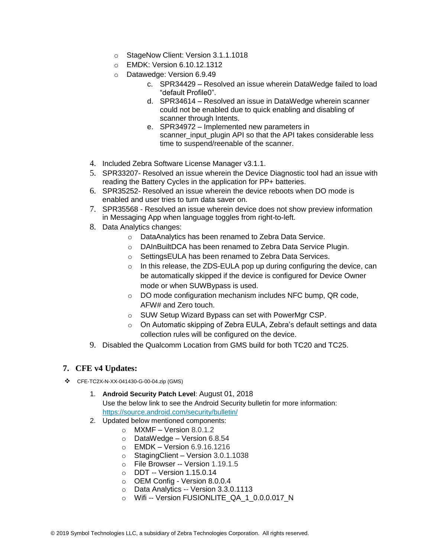- o StageNow Client: Version 3.1.1.1018
- o EMDK: Version 6.10.12.1312
- o Datawedge: Version 6.9.49
	- c. SPR34429 Resolved an issue wherein DataWedge failed to load "default Profile0".
	- d. SPR34614 Resolved an issue in DataWedge wherein scanner could not be enabled due to quick enabling and disabling of scanner through Intents.
	- e. SPR34972 Implemented new parameters in scanner input plugin API so that the API takes considerable less time to suspend/reenable of the scanner.
- 4. Included Zebra Software License Manager v3.1.1.
- 5. SPR33207- Resolved an issue wherein the Device Diagnostic tool had an issue with reading the Battery Cycles in the application for PP+ batteries.
- 6. SPR35252- Resolved an issue wherein the device reboots when DO mode is enabled and user tries to turn data saver on.
- 7. SPR35568 Resolved an issue wherein device does not show preview information in Messaging App when language toggles from right-to-left.
- 8. Data Analytics changes:
	- o DataAnalytics has been renamed to Zebra Data Service.
	- o DAInBuiltDCA has been renamed to Zebra Data Service Plugin.
	- o SettingsEULA has been renamed to Zebra Data Services.
	- o In this release, the ZDS-EULA pop up during configuring the device, can be automatically skipped if the device is configured for Device Owner mode or when SUWBypass is used.
	- o DO mode configuration mechanism includes NFC bump, QR code, AFW# and Zero touch.
	- o SUW Setup Wizard Bypass can set with PowerMgr CSP.
	- o On Automatic skipping of Zebra EULA, Zebra's default settings and data collection rules will be configured on the device.
- 9. Disabled the Qualcomm Location from GMS build for both TC20 and TC25.

#### **7. CFE v4 Updates:**

- ❖ CFE-TC2X-N-XX-041430-G-00-04.zip (GMS)
	- 1. **Android Security Patch Level**: August 01, 2018 Use the below link to see the Android Security bulletin for more information: <https://source.android.com/security/bulletin/>
	- 2. Updated below mentioned components:
		- $\circ$  MXMF Version 8.0.1.2
		- o DataWedge Version 6.8.54
		- o EMDK Version 6.9.16.1216
		- o StagingClient Version 3.0.1.1038
		- o File Browser -- Version 1.19.1.5
		- o DDT -- Version 1.15.0.14
		- o OEM Config Version 8.0.0.4
		- o Data Analytics -- Version 3.3.0.1113
		- o Wifi -- Version FUSIONLITE\_QA\_1\_0.0.0.017\_N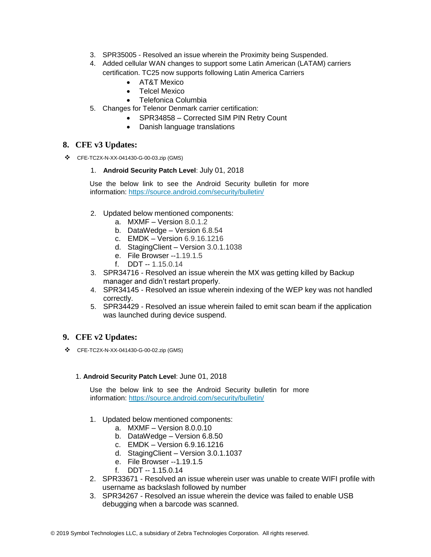- 3. SPR35005 Resolved an issue wherein the Proximity being Suspended.
- 4. Added cellular WAN changes to support some Latin American (LATAM) carriers certification. TC25 now supports following Latin America Carriers
	- AT&T Mexico
	- Telcel Mexico
	- Telefonica Columbia
- 5. Changes for Telenor Denmark carrier certification:
	- SPR34858 Corrected SIM PIN Retry Count
	- Danish language translations

#### **8. CFE v3 Updates:**

❖ CFE-TC2X-N-XX-041430-G-00-03.zip (GMS)

#### 1. **Android Security Patch Level**: July 01, 2018

Use the below link to see the Android Security bulletin for more information:<https://source.android.com/security/bulletin/>

- 2. Updated below mentioned components:
	- a. MXMF Version 8.0.1.2
	- b. DataWedge Version 6.8.54
	- c. EMDK Version 6.9.16.1216
	- d. StagingClient Version 3.0.1.1038
	- e. File Browser --1.19.1.5
	- f. DDT -- 1.15.0.14
- 3. SPR34716 Resolved an issue wherein the MX was getting killed by Backup manager and didn't restart properly.
- 4. SPR34145 Resolved an issue wherein indexing of the WEP key was not handled correctly.
- 5. SPR34429 Resolved an issue wherein failed to emit scan beam if the application was launched during device suspend.

#### **9. CFE v2 Updates:**

❖ CFE-TC2X-N-XX-041430-G-00-02.zip (GMS)

#### 1. **Android Security Patch Level**: June 01, 2018

Use the below link to see the Android Security bulletin for more information:<https://source.android.com/security/bulletin/>

- 1. Updated below mentioned components:
	- a. MXMF Version 8.0.0.10
	- b. DataWedge Version 6.8.50
	- c. EMDK Version 6.9.16.1216
	- d. StagingClient Version 3.0.1.1037
	- e. File Browser --1.19.1.5
	- f  $DT 1.15.0.14$
- 2. SPR33671 Resolved an issue wherein user was unable to create WIFI profile with username as backslash followed by number
- 3. SPR34267 Resolved an issue wherein the device was failed to enable USB debugging when a barcode was scanned.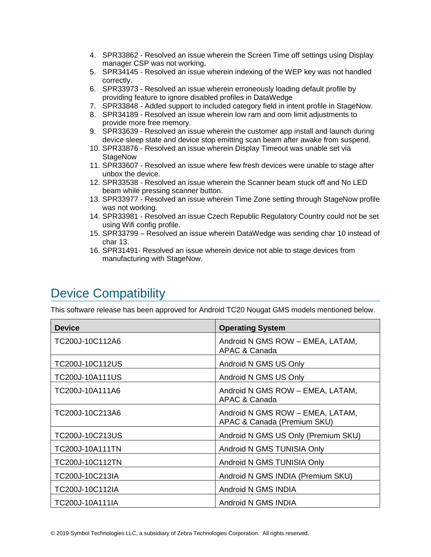- 4. SPR33862 Resolved an issue wherein the Screen Time off settings using Display manager CSP was not working.
- 5. SPR34145 Resolved an issue wherein indexing of the WEP key was not handled correctly.
- 6. SPR33973 Resolved an issue wherein erroneously loading default profile by providing feature to ignore disabled profiles in DataWedge
- 7. SPR33848 Added support to included category field in intent profile in StageNow.
- 8. SPR34189 Resolved an issue wherein low ram and oom limit adjustments to provide more free memory.
- 9. SPR33639 Resolved an issue wherein the customer app install and launch during device sleep state and device stop emitting scan beam after awake from suspend.
- 10. SPR33876 Resolved an issue wherein Display Timeout was unable set via **StageNow**
- 11. SPR33607 Resolved an issue where few fresh devices were unable to stage after unbox the device.
- 12. SPR33538 Resolved an issue wherein the Scanner beam stuck off and No LED beam while pressing scanner button.
- 13. SPR33977 Resolved an issue wherein Time Zone setting through StageNow profile was not working.
- 14. SPR33981 Resolved an issue Czech Republic Regulatory Country could not be set using Wifi config profile.
- 15. SPR33799 Resolved an issue wherein DataWedge was sending char 10 instead of char 13.
- 16. SPR31491- Resolved an issue wherein device not able to stage devices from manufacturing with StageNow.

## <span id="page-6-0"></span>Device Compatibility

This software release has been approved for Android TC20 Nougat GMS models mentioned below.

| <b>Device</b>          | <b>Operating System</b>                                         |
|------------------------|-----------------------------------------------------------------|
| TC200J-10C112A6        | Android N GMS ROW - EMEA, LATAM,<br>APAC & Canada               |
| TC200J-10C112US        | Android N GMS US Only                                           |
| TC200J-10A111US        | Android N GMS US Only                                           |
| TC200J-10A111A6        | Android N GMS ROW - EMEA, LATAM,<br>APAC & Canada               |
| TC200J-10C213A6        | Android N GMS ROW - EMEA, LATAM,<br>APAC & Canada (Premium SKU) |
| TC200J-10C213US        | Android N GMS US Only (Premium SKU)                             |
| <b>TC200J-10A111TN</b> | Android N GMS TUNISIA Only                                      |
| TC200J-10C112TN        | Android N GMS TUNISIA Only                                      |
| TC200J-10C213IA        | Android N GMS INDIA (Premium SKU)                               |
| TC200J-10C112IA        | Android N GMS INDIA                                             |
| TC200J-10A111IA        | Android N GMS INDIA                                             |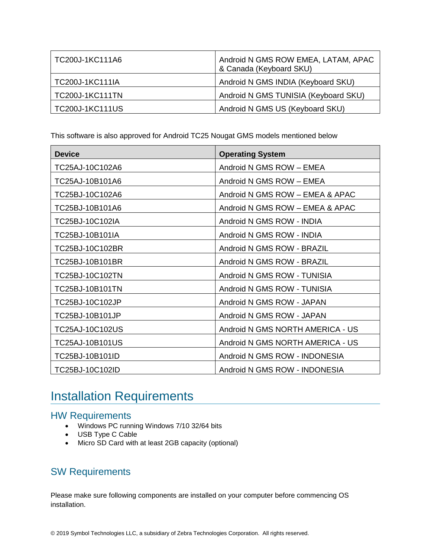| TC200J-1KC111A6        | Android N GMS ROW EMEA, LATAM, APAC<br>& Canada (Keyboard SKU) |
|------------------------|----------------------------------------------------------------|
| TC200J-1KC111IA        | Android N GMS INDIA (Keyboard SKU)                             |
| <b>TC200J-1KC111TN</b> | Android N GMS TUNISIA (Keyboard SKU)                           |
| <b>TC200J-1KC111US</b> | Android N GMS US (Keyboard SKU)                                |

This software is also approved for Android TC25 Nougat GMS models mentioned below

| <b>Device</b>   | <b>Operating System</b>          |
|-----------------|----------------------------------|
| TC25AJ-10C102A6 | Android N GMS ROW - EMEA         |
| TC25AJ-10B101A6 | Android N GMS ROW - EMEA         |
| TC25BJ-10C102A6 | Android N GMS ROW - EMEA & APAC  |
| TC25BJ-10B101A6 | Android N GMS ROW - EMEA & APAC  |
| TC25BJ-10C102IA | Android N GMS ROW - INDIA        |
| TC25BJ-10B101IA | Android N GMS ROW - INDIA        |
| TC25BJ-10C102BR | Android N GMS ROW - BRAZIL       |
| TC25BJ-10B101BR | Android N GMS ROW - BRAZIL       |
| TC25BJ-10C102TN | Android N GMS ROW - TUNISIA      |
| TC25BJ-10B101TN | Android N GMS ROW - TUNISIA      |
| TC25BJ-10C102JP | Android N GMS ROW - JAPAN        |
| TC25BJ-10B101JP | Android N GMS ROW - JAPAN        |
| TC25AJ-10C102US | Android N GMS NORTH AMERICA - US |
| TC25AJ-10B101US | Android N GMS NORTH AMERICA - US |
| TC25BJ-10B101ID | Android N GMS ROW - INDONESIA    |
| TC25BJ-10C102ID | Android N GMS ROW - INDONESIA    |

# <span id="page-7-0"></span>Installation Requirements

### HW Requirements

- Windows PC running Windows 7/10 32/64 bits
- USB Type C Cable
- Micro SD Card with at least 2GB capacity (optional)

### SW Requirements

Please make sure following components are installed on your computer before commencing OS installation.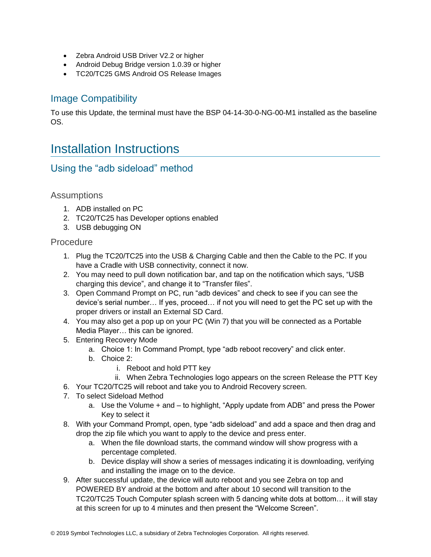- Zebra Android USB Driver V2.2 or higher
- Android Debug Bridge version 1.0.39 or higher
- TC20/TC25 GMS Android OS Release Images

### Image Compatibility

To use this Update, the terminal must have the BSP 04-14-30-0-NG-00-M1 installed as the baseline OS.

## <span id="page-8-0"></span>Installation Instructions

### Using the "adb sideload" method

#### Assumptions

- 1. ADB installed on PC
- 2. TC20/TC25 has Developer options enabled
- 3. USB debugging ON

#### **Procedure**

- 1. Plug the TC20/TC25 into the USB & Charging Cable and then the Cable to the PC. If you have a Cradle with USB connectivity, connect it now.
- 2. You may need to pull down notification bar, and tap on the notification which says, "USB charging this device", and change it to "Transfer files".
- 3. Open Command Prompt on PC, run "adb devices" and check to see if you can see the device's serial number… If yes, proceed… if not you will need to get the PC set up with the proper drivers or install an External SD Card.
- 4. You may also get a pop up on your PC (Win 7) that you will be connected as a Portable Media Player… this can be ignored.
- 5. Entering Recovery Mode
	- a. Choice 1: In Command Prompt, type "adb reboot recovery" and click enter.
	- b. Choice 2:
		- i. Reboot and hold PTT key
		- ii. When Zebra Technologies logo appears on the screen Release the PTT Key
- 6. Your TC20/TC25 will reboot and take you to Android Recovery screen.
- 7. To select Sideload Method
	- a. Use the Volume + and to highlight, "Apply update from ADB" and press the Power Key to select it
- 8. With your Command Prompt, open, type "adb sideload" and add a space and then drag and drop the zip file which you want to apply to the device and press enter.
	- a. When the file download starts, the command window will show progress with a percentage completed.
	- b. Device display will show a series of messages indicating it is downloading, verifying and installing the image on to the device.
- 9. After successful update, the device will auto reboot and you see Zebra on top and POWERED BY android at the bottom and after about 10 second will transition to the TC20/TC25 Touch Computer splash screen with 5 dancing white dots at bottom… it will stay at this screen for up to 4 minutes and then present the "Welcome Screen".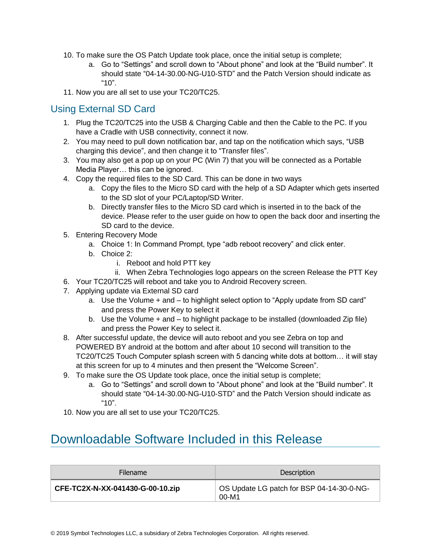- 10. To make sure the OS Patch Update took place, once the initial setup is complete;
	- a. Go to "Settings" and scroll down to "About phone" and look at the "Build number". It should state "04-14-30.00-NG-U10-STD" and the Patch Version should indicate as "10"
- 11. Now you are all set to use your TC20/TC25.

### Using External SD Card

- 1. Plug the TC20/TC25 into the USB & Charging Cable and then the Cable to the PC. If you have a Cradle with USB connectivity, connect it now.
- 2. You may need to pull down notification bar, and tap on the notification which says, "USB charging this device", and then change it to "Transfer files".
- 3. You may also get a pop up on your PC (Win 7) that you will be connected as a Portable Media Player… this can be ignored.
- 4. Copy the required files to the SD Card. This can be done in two ways
	- a. Copy the files to the Micro SD card with the help of a SD Adapter which gets inserted to the SD slot of your PC/Laptop/SD Writer.
	- b. Directly transfer files to the Micro SD card which is inserted in to the back of the device. Please refer to the user guide on how to open the back door and inserting the SD card to the device.
- 5. Entering Recovery Mode
	- a. Choice 1: In Command Prompt, type "adb reboot recovery" and click enter.
	- b. Choice 2:
		- i. Reboot and hold PTT key
		- ii. When Zebra Technologies logo appears on the screen Release the PTT Key
- 6. Your TC20/TC25 will reboot and take you to Android Recovery screen.
- 7. Applying update via External SD card
	- a. Use the Volume + and to highlight select option to "Apply update from SD card" and press the Power Key to select it
	- b. Use the Volume + and to highlight package to be installed (downloaded Zip file) and press the Power Key to select it.
- 8. After successful update, the device will auto reboot and you see Zebra on top and POWERED BY android at the bottom and after about 10 second will transition to the TC20/TC25 Touch Computer splash screen with 5 dancing white dots at bottom… it will stay at this screen for up to 4 minutes and then present the "Welcome Screen".
- 9. To make sure the OS Update took place, once the initial setup is complete;
	- a. Go to "Settings" and scroll down to "About phone" and look at the "Build number". It should state "04-14-30.00-NG-U10-STD" and the Patch Version should indicate as "10".
- 10. Now you are all set to use your TC20/TC25.

## <span id="page-9-0"></span>Downloadable Software Included in this Release

| <b>Filename</b>                  | Description                                        |
|----------------------------------|----------------------------------------------------|
| CFE-TC2X-N-XX-041430-G-00-10.zip | OS Update LG patch for BSP 04-14-30-0-NG-<br>00-M1 |